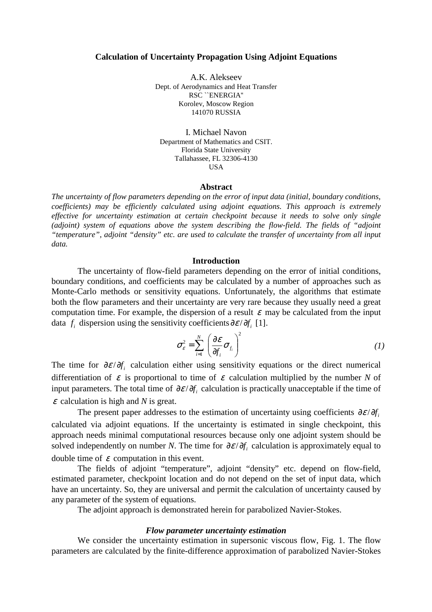### **Calculation of Uncertainty Propagation Using Adjoint Equations**

A.K. Alekseev Dept. of Aerodynamics and Heat Transfer RSC ``ENERGIA'' Korolev, Moscow Region 141070 RUSSIA

I. Michael Navon Department of Mathematics and CSIT. Florida State University Tallahassee, FL 32306-4130 USA

## **Abstract**

*The uncertainty of flow parameters depending on the error of input data (initial, boundary conditions, coefficients) may be efficiently calculated using adjoint equations. This approach is extremely effective for uncertainty estimation at certain checkpoint because it needs to solve only single*  (adjoint) system of equations above the system describing the flow-field. The fields of "adjoint" *"temperature", adjoint "density" etc. are used to calculate the transfer of uncertainty from all input data.* 

# **Introduction**

 The uncertainty of flow-field parameters depending on the error of initial conditions, boundary conditions, and coefficients may be calculated by a number of approaches such as Monte-Carlo methods or sensitivity equations. Unfortunately, the algorithms that estimate both the flow parameters and their uncertainty are very rare because they usually need a great computation time. For example, the dispersion of a result  $\varepsilon$  may be calculated from the input data  $f_i$  dispersion using the sensitivity coefficients  $\partial \varepsilon / \partial f_i$  [1].

$$
\sigma_{\varepsilon}^{2} = \sum_{i=1}^{N} \left( \frac{\partial \varepsilon}{\partial f_{i}} \sigma_{f_{i}} \right)^{2}
$$
 (1)

The time for  $\partial \varepsilon / \partial f$ , calculation either using sensitivity equations or the direct numerical differentiation of  $\varepsilon$  is proportional to time of  $\varepsilon$  calculation multiplied by the number *N* of input parameters. The total time of  $\partial \varepsilon / \partial f$ , calculation is practically unacceptable if the time of <sup>ε</sup> calculation is high and *N* is great.

The present paper addresses to the estimation of uncertainty using coefficients  $\partial \varepsilon / \partial f$ . calculated via adjoint equations. If the uncertainty is estimated in single checkpoint, this approach needs minimal computational resources because only one adjoint system should be solved independently on number *N*. The time for  $\partial \varepsilon / \partial f_i$  calculation is approximately equal to double time of  $\varepsilon$  computation in this event.

The fields of adjoint "temperature", adjoint "density" etc. depend on flow-field, estimated parameter, checkpoint location and do not depend on the set of input data, which have an uncertainty. So, they are universal and permit the calculation of uncertainty caused by any parameter of the system of equations.

The adjoint approach is demonstrated herein for parabolized Navier-Stokes.

## *Flow parameter uncertainty estimation*

We consider the uncertainty estimation in supersonic viscous flow, Fig. 1. The flow parameters are calculated by the finite-difference approximation of parabolized Navier-Stokes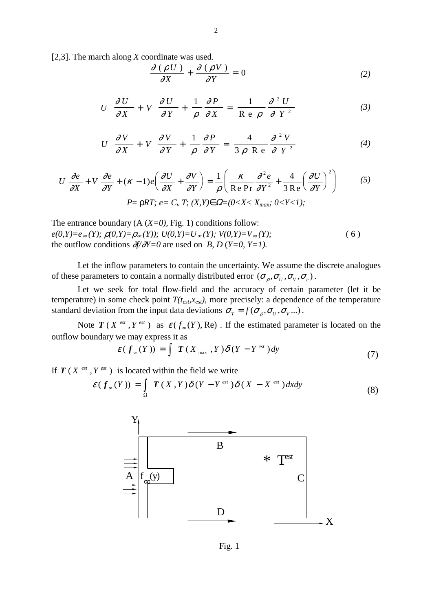[2,3]. The march along *X* coordinate was used.

$$
\frac{\partial (\rho U)}{\partial X} + \frac{\partial (\rho V)}{\partial Y} = 0
$$
 (2)

$$
U \frac{\partial U}{\partial X} + V \frac{\partial U}{\partial Y} + \frac{1}{\rho} \frac{\partial P}{\partial X} = \frac{1}{\text{Re } \rho} \frac{\partial^2 U}{\partial Y^2}
$$
(3)

$$
U \frac{\partial V}{\partial X} + V \frac{\partial V}{\partial Y} + \frac{1}{\rho} \frac{\partial P}{\partial Y} = \frac{4}{3 \rho \text{ Re}} \frac{\partial^2 V}{\partial Y^2}
$$
(4)

$$
U\frac{\partial e}{\partial X} + V\frac{\partial e}{\partial Y} + (\kappa - 1)e\left(\frac{\partial U}{\partial X} + \frac{\partial V}{\partial Y}\right) = \frac{1}{\rho}\left(\frac{\kappa}{\text{Re Pr}}\frac{\partial^2 e}{\partial Y^2} + \frac{4}{3\text{Re}}\left(\frac{\partial U}{\partial Y}\right)^2\right) \tag{5}
$$
  
\n
$$
P = \rho RT; e = C_v T; (X, Y) \in \Omega = (0 < X < X_{max}; 0 < Y < 1);
$$

The entrance boundary  $(A (X=0), Fig. 1)$  conditions follow:  $e(0, Y) = e_{\infty}(Y)$ ;  $\rho(0, Y) = \rho_{\infty}(Y)$ ;  $U(0, Y) = U_{\infty}(Y)$ ;  $V(0, Y) = V_{\infty}(Y)$ ; (6) the outflow conditions  $\partial f/\partial Y=0$  are used on *B*, *D* (*Y*=0, *Y*=1).

Let the inflow parameters to contain the uncertainty. We assume the discrete analogues of these parameters to contain a normally distributed error  $(\sigma_{\rho}, \sigma_{\nu}, \sigma_{\nu}, \sigma_{\epsilon})$ .

Let we seek for total flow-field and the accuracy of certain parameter (let it be temperature) in some check point  $T(t_{est}, x_{est})$ , more precisely: a dependence of the temperature standard deviation from the input data deviations  $\sigma_T = f(\sigma_\rho, \sigma_U, \sigma_V, ...)$ .

Note  $T(X^{est}, Y^{est})$  as  $\varepsilon(f_{\infty}(Y), Re)$ . If the estimated parameter is located on the outflow boundary we may express it as

$$
\mathcal{E}(f_{\infty}(Y)) = \int \mathbf{T}(X_{\max}, Y) \delta(Y - Y^{\text{est}}) dy \tag{7}
$$

If  $T(X^{est}, Y^{est})$  is located within the field we write

$$
\mathcal{E}(f_{\infty}(Y)) = \int_{\Omega} T(X,Y) \delta(Y - Y^{est}) \delta(X - X^{est}) dxdy
$$
\n(8)



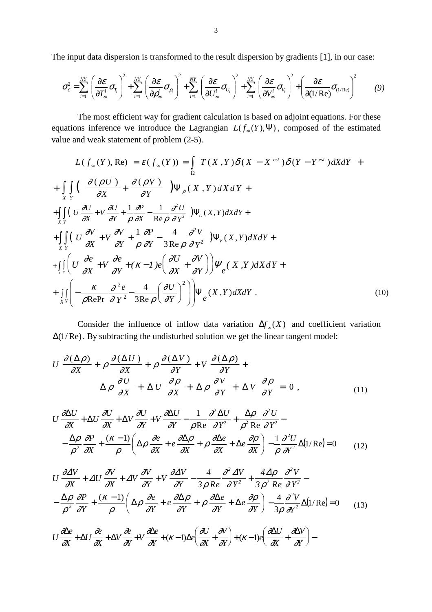The input data dispersion is transformed to the result dispersion by gradients [1], in our case:

$$
\sigma_{\varepsilon}^{2} = \sum_{i=1}^{NY} \left( \frac{\partial \mathcal{E}}{\partial T_{\infty}^{i}} \sigma_{T_{i}} \right)^{2} + \sum_{i=1}^{NY} \left( \frac{\partial \mathcal{E}}{\partial \rho_{\infty}^{i}} \sigma_{\rho_{i}} \right)^{2} + \sum_{i=1}^{NY} \left( \frac{\partial \mathcal{E}}{\partial U_{\infty}^{i}} \sigma_{U_{i}} \right)^{2} + \sum_{i=1}^{NY} \left( \frac{\partial \mathcal{E}}{\partial V_{\infty}^{i}} \sigma_{V_{i}} \right)^{2} + \left( \frac{\partial \mathcal{E}}{\partial (1/\text{Re})} \sigma_{(1/\text{Re})} \right)^{2} \tag{9}
$$

The most efficient way for gradient calculation is based on adjoint equations. For these equations inference we introduce the Lagrangian  $L(f_{\infty}(Y), \Psi)$ , composed of the estimated value and weak statement of problem (2-5).

$$
L(f_{\infty}(Y), \text{Re}) = \mathcal{E}(f_{\infty}(Y)) = \int_{\Omega} T(X, Y) \delta(X - X^{est}) \delta(Y - Y^{est}) dX dY +
$$
  
+ 
$$
\int_{X} \int_{Y} \left( \frac{\partial(\rho U)}{\partial X} + \frac{\partial(\rho V)}{\partial Y} \right) \Psi_{\rho}(X, Y) dX dY +
$$
  
+ 
$$
\int_{X} \int_{Y} \left( U \frac{\partial U}{\partial X} + V \frac{\partial U}{\partial Y} + \frac{1}{\rho} \frac{\partial P}{\partial X} - \frac{1}{\text{Re}\rho} \frac{\partial^2 U}{\partial Y^2} \right) \Psi_{U}(X, Y) dX dY +
$$
  
+ 
$$
\int_{X} \int_{Y} \left( U \frac{\partial V}{\partial X} + V \frac{\partial V}{\partial Y} + \frac{1}{\rho} \frac{\partial P}{\partial Y} - \frac{4}{3 \text{Re}\rho} \frac{\partial^2 V}{\partial Y^2} \right) \Psi_{V}(X, Y) dX dY +
$$
  
+ 
$$
\int_{X} \int_{Y} \left( U \frac{\partial e}{\partial X} + V \frac{\partial e}{\partial Y} + (\kappa - 1) e \left( \frac{\partial U}{\partial X} + \frac{\partial V}{\partial Y} \right) \right) \Psi_{e}(X, Y) dX dY +
$$
  
+ 
$$
\int_{X} \int_{Y} \left( -\frac{\kappa}{\rho \text{RePr}} \frac{\partial^2 e}{\partial Y^2} - \frac{4}{3 \text{Re}\rho} \left( \frac{\partial U}{\partial Y} \right)^2 \right) \Psi_{e}(X, Y) dX dY.
$$
 (10)

Consider the influence of inflow data variation  $\Delta f_{\infty}(X)$  and coefficient variation ∆(1/Re). By subtracting the undisturbed solution we get the linear tangent model:

$$
U \frac{\partial (\Delta \rho)}{\partial X} + \rho \frac{\partial (\Delta U)}{\partial X} + \rho \frac{\partial (\Delta V)}{\partial Y} + V \frac{\partial (\Delta \rho)}{\partial Y} + \Delta V \frac{\partial (\Delta \rho)}{\partial X} + \Delta V \frac{\partial \rho}{\partial Y} + \Delta V \frac{\partial \rho}{\partial Y} = 0,
$$
\n(11)

$$
U \frac{\partial \Delta U}{\partial X} + \Delta U \frac{\partial U}{\partial X} + \Delta V \frac{\partial U}{\partial Y} + V \frac{\partial \Delta U}{\partial Y} - \frac{1}{\rho \text{Re}} \frac{\partial^2 \Delta U}{\partial Y^2} + \frac{\Delta \rho}{\rho^2 \text{Re}} \frac{\partial^2 U}{\partial Y^2} - \frac{\Delta \rho}{\rho^2} \frac{\partial P}{\partial X} + \frac{(\kappa - 1)}{\rho} \left( \Delta \rho \frac{\partial e}{\partial X} + e \frac{\partial \Delta \rho}{\partial X} + \rho \frac{\partial \Delta e}{\partial X} + \Delta e \frac{\partial \rho}{\partial X} \right) - \frac{1}{\rho} \frac{\partial^2 U}{\partial Y^2} \Delta (1/\text{Re}) = 0 \tag{12}
$$

$$
U \frac{\partial \Delta V}{\partial X} + \Delta U \frac{\partial V}{\partial X} + \Delta V \frac{\partial V}{\partial Y} + V \frac{\partial \Delta V}{\partial Y} - \frac{4}{3 \rho \text{ Re}} \frac{\partial^2 \Delta V}{\partial Y^2} + \frac{4 \Delta \rho}{3 \rho^2 \text{ Re}} \frac{\partial^2 V}{\partial Y^2} - \frac{\Delta \rho}{\rho^2} \frac{\partial P}{\partial Y} + \frac{(\kappa - 1)}{\rho} \left( \Delta \rho \frac{\partial e}{\partial Y} + e \frac{\partial \Delta \rho}{\partial Y} + \rho \frac{\partial \Delta e}{\partial Y} + \Delta e \frac{\partial \rho}{\partial Y} \right) - \frac{4}{3 \rho} \frac{\partial^2 V}{\partial Y^2} \Delta (1/\text{Re}) = 0 \quad (13)
$$
  

$$
U \frac{\partial \Delta e}{\partial X} + \Delta U \frac{\partial e}{\partial X} + \Delta V \frac{\partial e}{\partial Y} + V \frac{\partial \Delta e}{\partial Y} + (\kappa - 1) \Delta e \left( \frac{\partial U}{\partial X} + \frac{\partial V}{\partial Y} \right) + (\kappa - 1) e \left( \frac{\partial \Delta U}{\partial X} + \frac{\partial \Delta V}{\partial Y} \right) -
$$

*X*

∂

*Y*

 $\overline{\partial Y}$ }+(K)

*e*

*X*

∂

*Y*

∂

*e*

∆

*U*

*X*

∂

*U*

*X*

 $\Delta U \frac{\partial c}{\partial x} + \Delta$ 

∂

*V*

*Y V*

∂

*Y*

 $+\Delta U \frac{\partial}{\partial x} + \Delta V \frac{\partial}{\partial x} + V \frac{\partial}{\partial x} + (\kappa - 1) \Delta e \frac{\partial}{\partial x} +$ 

 $\overline{\partial Y}^{+(K)}$ 

$$
\boldsymbol{3}
$$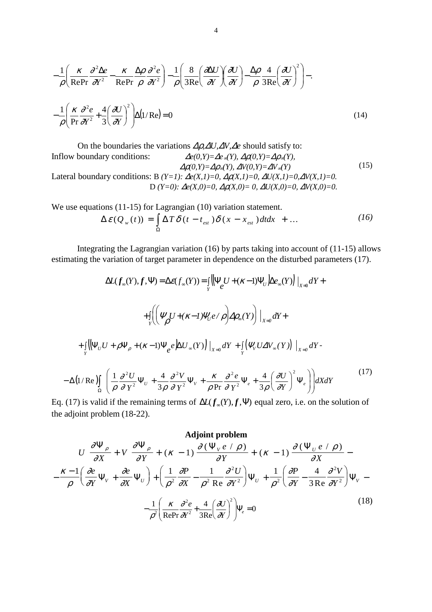$$
-\frac{1}{\rho} \left( \frac{\kappa}{\text{RePr}} \frac{\partial^2 \Delta e}{\partial Y^2} - \frac{\kappa}{\text{RePr}} \frac{\Delta \rho}{\rho} \frac{\partial^2 e}{\partial Y^2} \right) - \frac{1}{\rho} \left( \frac{8}{3\text{Re}} \left( \frac{\partial \Delta U}{\partial Y} \right) \left( \frac{\partial U}{\partial Y} \right) - \frac{\Delta \rho}{\rho} \frac{4}{3\text{Re}} \left( \frac{\partial U}{\partial Y} \right)^2 \right) -
$$

$$
-\frac{1}{\rho} \left( \frac{\kappa}{\text{Pr}} \frac{\partial^2 e}{\partial Y^2} + \frac{4}{3} \left( \frac{\partial U}{\partial Y} \right)^2 \right) \Delta (1/\text{Re}) = 0 \tag{14}
$$

On the boundaries the variations ∆ρ*,*∆*U,*∆*V,*∆*e* should satisfy to: Inflow boundary conditions:  $\Delta e(0, Y) = \Delta e_{\infty}(Y), \Delta \rho(0, Y) = \Delta \rho_{\infty}(Y),$  $\Delta \rho(0, Y) = \Delta \rho_{\infty}(Y), \ \Delta V(0, Y) = \Delta V_{\infty}(Y)$ Lateral boundary conditions: B  $(Y=1)$ :  $\Delta e(X,1)=0$ ,  $\Delta p(X,1)=0$ ,  $\Delta U(X,1)=0$ ,  $\Delta V(X,1)=0$ . D  $(Y=0)$ :  $\Delta e(X,0)=0$ ,  $\Delta \rho(X,0)=0$ ,  $\Delta U(X,0)=0$ ,  $\Delta V(X,0)=0$ . (15)

We use equations (11-15) for Lagrangian (10) variation statement.

$$
\Delta \mathcal{E}(Q_w(t)) = \int_{\Omega} \Delta T \delta(t - t_{est}) \delta(x - x_{est}) dt dx + ... \qquad (16)
$$

Integrating the Lagrangian variation (16) by parts taking into account of (11-15) allows estimating the variation of target parameter in dependence on the disturbed parameters (17).

$$
\Delta L(f_{\infty}(Y), f, \Psi) = \Delta \varepsilon(f_{\infty}(Y)) = \iint_{Y} \left\{ \Psi_{e} U + (\kappa - 1) \Psi_{U} \Delta e_{\infty}(Y) \right\} \Big|_{X=0} dY +
$$
  
+ 
$$
\int_{Y} \left( \left( \Psi_{\rho} U + (\kappa - 1) \Psi_{U} e / \rho \right) \Delta \rho_{\infty}(Y) \right) \Big|_{X=0} dY +
$$
  
+ 
$$
\int_{Y} \left\{ \left[ \Psi_{U} U + \rho \Psi_{\rho} + (\kappa - 1) \Psi_{e} e \right] \Delta U_{\infty}(Y) \right\} \Big|_{X=0} dY + \int_{Y} \left( \Psi_{V} U \Delta V_{\infty}(Y) \right) \Big|_{X=0} dY -
$$
  
- 
$$
\Delta (1/\text{Re}) \int_{\Omega} \left( \frac{1}{\rho} \frac{\partial^{2} U}{\partial Y^{2}} \Psi_{U} + \frac{4}{3\rho} \frac{\partial^{2} V}{\partial Y^{2}} \Psi_{V} + \frac{\kappa}{\rho \text{ Pr}} \frac{\partial^{2} e}{\partial Y^{2}} \Psi_{e} + \frac{4}{3\rho} \left( \frac{\partial U}{\partial Y} \right)^{2} \Psi_{e} \right) dX dY
$$
(17)

Eq. (17) is valid if the remaining terms of  $\Delta L(f_*(Y), f, \Psi)$  equal zero, i.e. on the solution of the adjoint problem (18-22).

**Adjoint problem**  
\n
$$
U \frac{\partial \Psi_{\rho}}{\partial X} + V \frac{\partial \Psi_{\rho}}{\partial Y} + (\kappa - 1) \frac{\partial (\Psi_{v} e / \rho)}{\partial Y} + (\kappa - 1) \frac{\partial (\Psi_{v} e / \rho)}{\partial X} - \frac{\kappa - 1}{\rho} \left( \frac{\partial e}{\partial Y} \Psi_{v} + \frac{\partial e}{\partial X} \Psi_{v} \right) + \left( \frac{1}{\rho^{2}} \frac{\partial P}{\partial X} - \frac{1}{\rho^{2}} \frac{\partial^{2} U}{\partial Y^{2}} \right) \Psi_{v} + \frac{1}{\rho^{2}} \left( \frac{\partial P}{\partial Y} - \frac{4}{3 \text{Re}} \frac{\partial^{2} V}{\partial Y^{2}} \right) \Psi_{v} - \frac{1}{\rho^{2}} \left( \frac{\kappa}{\text{RePr}} \frac{\partial^{2} e}{\partial Y^{2}} + \frac{4}{3 \text{Re}} \left( \frac{\partial U}{\partial Y} \right)^{2} \right) \Psi_{e} = 0
$$
\n(18)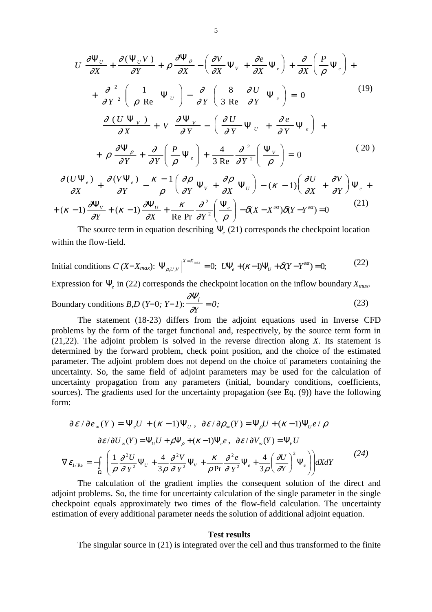$$
U \frac{\partial \Psi_{U}}{\partial X} + \frac{\partial (\Psi_{U} V)}{\partial Y} + \rho \frac{\partial \Psi_{\rho}}{\partial X} - \left(\frac{\partial V}{\partial X} \Psi_{V} + \frac{\partial e}{\partial X} \Psi_{e}\right) + \frac{\partial}{\partial X} \left(\frac{P}{\rho} \Psi_{e}\right) + \frac{\partial}{\partial Y} \left(\frac{1}{\rho \text{ Re}} \Psi_{U}\right) - \frac{\partial}{\partial Y} \left(\frac{8}{3 \text{ Re}} \frac{\partial U}{\partial Y} \Psi_{e}\right) = 0 \qquad (19)
$$
\n
$$
\frac{\partial (U \Psi_{V})}{\partial X} + V \frac{\partial \Psi_{V}}{\partial Y} - \left(\frac{\partial U}{\partial Y} \Psi_{U} + \frac{\partial e}{\partial Y} \Psi_{e}\right) + \frac{\partial \Psi_{\rho}}{\partial Y} + \rho \frac{\partial \Psi_{\rho}}{\partial Y} + \frac{\partial}{\partial Y} \left(\frac{P}{\rho} \Psi_{e}\right) + \frac{4}{3 \text{ Re}} \frac{\partial^{2}}{\partial Y^{2}} \left(\frac{\Psi_{V}}{\rho}\right) = 0 \qquad (20)
$$
\n
$$
U W_{V} = 2U W_{V} = 0 \qquad (21)
$$

$$
\frac{\partial (U\Psi_{e})}{\partial X} + \frac{\partial (V\Psi_{e})}{\partial Y} - \frac{\kappa - 1}{\rho} \left( \frac{\partial \rho}{\partial Y} \Psi_{V} + \frac{\partial \rho}{\partial X} \Psi_{U} \right) - (\kappa - 1) \left( \frac{\partial U}{\partial X} + \frac{\partial V}{\partial Y} \right) \Psi_{e} +
$$
  
+ (\kappa - 1)  $\frac{\partial \Psi_{V}}{\partial Y} + (\kappa - 1) \frac{\partial \Psi_{U}}{\partial X} + \frac{\kappa}{\text{Re Pr}} \frac{\partial^{2}}{\partial Y^{2}} \left( \frac{\Psi_{e}}{\rho} \right) - \delta (X - X^{\text{est}}) \delta (Y - Y^{\text{est}}) = 0$  (21)

The source term in equation describing  $\Psi$ <sub>*(21)* corresponds the checkpoint location</sub> within the flow-field.

Initial conditions 
$$
C(X=X_{max})
$$
:  $\Psi_{\rho,U,V}|_{X=X_{max}} = 0$ ;  $U\Psi_{e} + (\kappa - 1)\Psi_{U} + \delta(Y - Y^{est}) = 0$  (22)

Expression for Ψ*e* in (22) corresponds the checkpoint location on the inflow boundary *Xmax.*

Boundary conditions *B*,*D* (*Y*=0; *Y*=1): 
$$
\frac{\partial \Psi_f}{\partial Y} = 0;
$$
 (23)

The statement (18-23) differs from the adjoint equations used in Inverse CFD problems by the form of the target functional and, respectively, by the source term form in (21,22). The adjoint problem is solved in the reverse direction along *X*. Its statement is determined by the forward problem, check point position, and the choice of the estimated parameter. The adjoint problem does not depend on the choice of parameters containing the uncertainty. So, the same field of adjoint parameters may be used for the calculation of uncertainty propagation from any parameters (initial, boundary conditions, coefficients, sources). The gradients used for the uncertainty propagation (see Eq. (9)) have the following form:

$$
\partial \mathcal{E}/\partial e_{\infty}(Y) = \Psi_{e}U + (\kappa - 1)\Psi_{U}, \ \partial \mathcal{E}/\partial \rho_{\infty}(Y) = \Psi_{\rho}U + (\kappa - 1)\Psi_{U}e/\rho
$$

$$
\partial \mathcal{E}/\partial U_{\infty}(Y) = \Psi_{U}U + \rho\Psi_{\rho} + (\kappa - 1)\Psi_{e}e, \ \partial \mathcal{E}/\partial V_{\infty}(Y) = \Psi_{V}U
$$

$$
\nabla \mathcal{E}_{1/\text{Re}} = -\int_{\Omega} \left( \frac{1}{\rho} \frac{\partial^{2}U}{\partial Y^{2}} \Psi_{U} + \frac{4}{3\rho} \frac{\partial^{2}V}{\partial Y^{2}} \Psi_{V} + \frac{\kappa}{\rho \text{ Pr}} \frac{\partial^{2}e}{\partial Y^{2}} \Psi_{e} + \frac{4}{3\rho} \left( \frac{\partial U}{\partial Y} \right)^{2} \Psi_{e} \right) dX dY
$$
(24)

The calculation of the gradient implies the consequent solution of the direct and adjoint problems. So, the time for uncertainty calculation of the single parameter in the single checkpoint equals approximately two times of the flow-field calculation. The uncertainty estimation of every additional parameter needs the solution of additional adjoint equation.

#### **Test results**

The singular source in (21) is integrated over the cell and thus transformed to the finite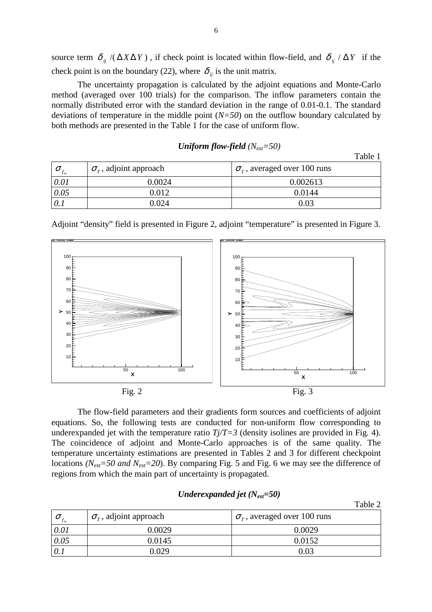source term  $\delta_{ij}$  /( $\Delta X \Delta Y$ ), if check point is located within flow-field, and  $\delta_{ij}$  /  $\Delta Y$  if the check point is on the boundary (22), where  $\delta_{ij}$  is the unit matrix.

The uncertainty propagation is calculated by the adjoint equations and Monte-Carlo method (averaged over 100 trials) for the comparison. The inflow parameters contain the normally distributed error with the standard deviation in the range of 0.01-0.1. The standard deviations of temperature in the middle point (*N=50*) on the outflow boundary calculated by both methods are presented in the Table 1 for the case of uniform flow.

| Uniform flow-field $(N_{est}=50)$ |  |
|-----------------------------------|--|
|-----------------------------------|--|

|                        |                                    | Table 1                                  |
|------------------------|------------------------------------|------------------------------------------|
| $\sigma$<br>$J \infty$ | $\sigma_{\tau}$ , adjoint approach | $\sigma_{\tau}$ , averaged over 100 runs |
| 0.01                   | 0.0024                             | 0.002613                                 |
| 0.05                   | 0.012                              | 0.0144                                   |
|                        | 0.024                              | 0.03                                     |



Adjoint "density" field is presented in Figure 2, adjoint "temperature" is presented in Figure 3.

The flow-field parameters and their gradients form sources and coefficients of adjoint equations. So, the following tests are conducted for non-uniform flow corresponding to underexpanded jet with the temperature ratio  $T_j/T=3$  (density isolines are provided in Fig. 4). The coincidence of adjoint and Monte-Carlo approaches is of the same quality. The temperature uncertainty estimations are presented in Tables 2 and 3 for different checkpoint locations *(Nest=50 and Nest=20*). By comparing Fig. 5 and Fig. 6 we may see the difference of regions from which the main part of uncertainty is propagated.

|                                |                                    | Table 2                                  |
|--------------------------------|------------------------------------|------------------------------------------|
| $\boldsymbol{O}$<br>$J \infty$ | $\sigma_{\tau}$ , adjoint approach | $\sigma_{\tau}$ , averaged over 100 runs |
| 0.01                           | 0.0029                             | 0.0029                                   |
| 0.05                           | 0.0145                             | 0.0152                                   |
|                                | 0.029                              | 0.03                                     |

# *Underexpanded jet (Nest=50)*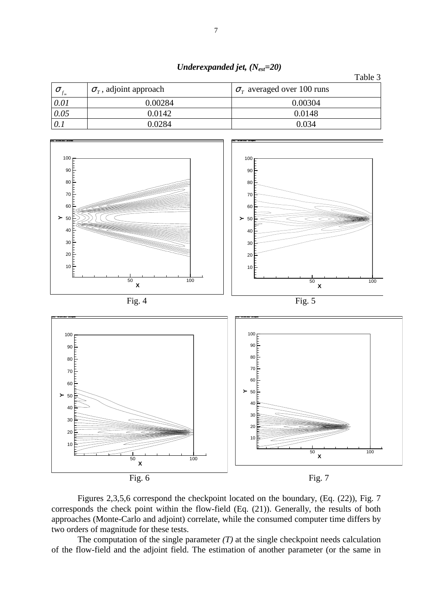|                   |                                    | Table 3                           |
|-------------------|------------------------------------|-----------------------------------|
| $J\infty$         | $\sigma_{\tau}$ , adjoint approach | $\sigma_r$ averaged over 100 runs |
| 0.01              | 0.00284                            | 0.00304                           |
| $\overline{0.05}$ | 0.0142                             | 0.0148                            |
|                   | 0.0284                             | 0.034                             |





Figures 2,3,5,6 correspond the checkpoint located on the boundary, (Eq. (22)), Fig. 7 corresponds the check point within the flow-field (Eq. (21)). Generally, the results of both approaches (Monte-Carlo and adjoint) correlate, while the consumed computer time differs by two orders of magnitude for these tests.

The computation of the single parameter  $(T)$  at the single checkpoint needs calculation of the flow-field and the adjoint field. The estimation of another parameter (or the same in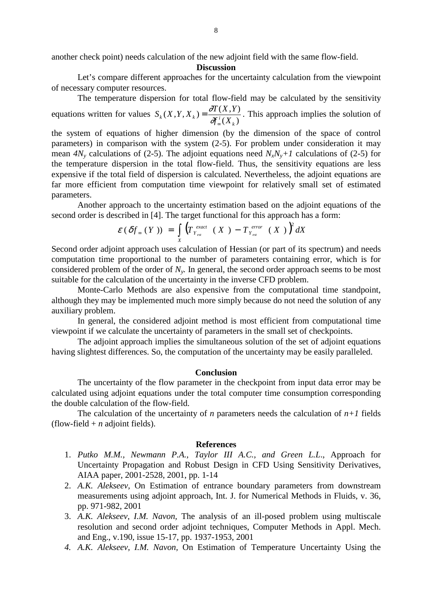another check point) needs calculation of the new adjoint field with the same flow-field.

# **Discussion**

Let's compare different approaches for the uncertainty calculation from the viewpoint of necessary computer resources.

The temperature dispersion for total flow-field may be calculated by the sensitivity equations written for values  $S_k(X, Y, X_k) = \frac{\partial T(X, Y)}{\partial f_{\infty}^i(X_k)}$  $\partial f^i_\infty(X_k) = \partial f^i_\infty(X_k)$  $S_k(X, Y, X_k) = \frac{\partial T(X, Y)}{\partial X_k}$  $=\frac{\partial T(X,Y)}{\partial f_{\infty}^{i}(X_{k})}$ . This approach implies the solution of

the system of equations of higher dimension (by the dimension of the space of control parameters) in comparison with the system (2-5). For problem under consideration it may mean  $4N_v$  calculations of (2-5). The adjoint equations need  $N_xN_v+1$  calculations of (2-5) for the temperature dispersion in the total flow-field. Thus, the sensitivity equations are less expensive if the total field of dispersion is calculated. Nevertheless, the adjoint equations are far more efficient from computation time viewpoint for relatively small set of estimated parameters.

Another approach to the uncertainty estimation based on the adjoint equations of the second order is described in [4]. The target functional for this approach has a form:

$$
\varepsilon\left(\delta f_{\infty}\left(\,Y\,\right)\right) \;=\; \int\limits_X \left(T_{\,Y_{\,es}}^{\,exact}\left(\,X\,\right)\,-\,T_{\,Y_{\,es}}^{\,error}\left(\,X\,\right)\,\right)^2 dX
$$

Second order adjoint approach uses calculation of Hessian (or part of its spectrum) and needs computation time proportional to the number of parameters containing error, which is for considered problem of the order of *Ny.* In general, the second order approach seems to be most suitable for the calculation of the uncertainty in the inverse CFD problem.

 Monte-Carlo Methods are also expensive from the computational time standpoint, although they may be implemented much more simply because do not need the solution of any auxiliary problem.

In general, the considered adjoint method is most efficient from computational time viewpoint if we calculate the uncertainty of parameters in the small set of checkpoints.

The adjoint approach implies the simultaneous solution of the set of adjoint equations having slightest differences. So, the computation of the uncertainty may be easily paralleled.

## **Conclusion**

The uncertainty of the flow parameter in the checkpoint from input data error may be calculated using adjoint equations under the total computer time consumption corresponding the double calculation of the flow-field.

The calculation of the uncertainty of *n* parameters needs the calculation of  $n+1$  fields (flow-field  $+ n$  adjoint fields).

### **References**

- 1. *Putko M.M., Newmann P.A., Taylor III A.C., and Green L.L*., Approach for Uncertainty Propagation and Robust Design in CFD Using Sensitivity Derivatives, AIAA paper, 2001-2528, 2001, pp. 1-14
- 2. *A.K. Alekseev,* On Estimation of entrance boundary parameters from downstream measurements using adjoint approach, Int. J. for Numerical Methods in Fluids, v. 36, pp. 971-982, 2001
- 3. *A.K. Alekseev, I.M. Navon,* The analysis of an ill-posed problem using multiscale resolution and second order adjoint techniques, Computer Methods in Appl. Mech. and Eng., v.190, issue 15-17, pp. 1937-1953, 2001
- *4. A.K. Alekseev, I.M. Navon,* On Estimation of Temperature Uncertainty Using the